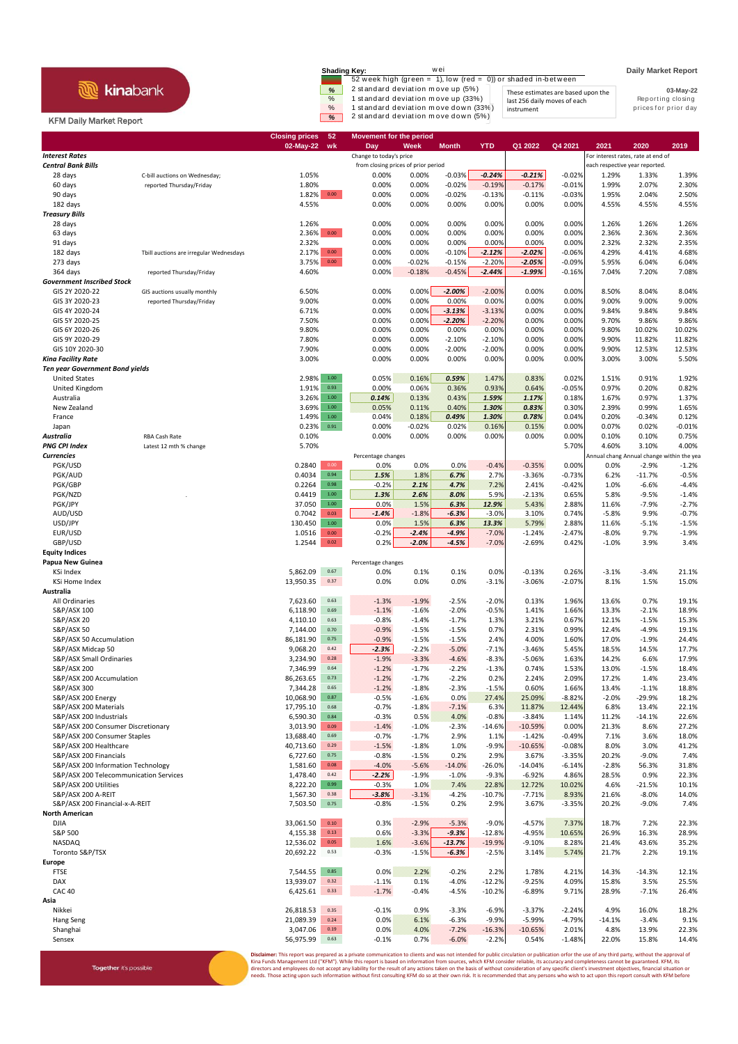## **R** kinabank

Together it's possible

| <b>Shading Key:</b> | wei                                                           |                                    | <b>Daily Market Report</b> |
|---------------------|---------------------------------------------------------------|------------------------------------|----------------------------|
|                     | 52 week high (green = 1), low (red = 0)) or shaded in-between |                                    |                            |
| %                   | 2 standard deviation move up (5%)                             | These estimates are based upon the | 03-May-22                  |
| $\%$                | 1 standard deviation move up (33%)                            | last 256 daily moves of each       | Reporting closing          |
| $\%$                | 1 standard deviation move down (33%)                          | instrument                         | prices for prior day       |
| $\%$                | 2 standard deviation move down (5%)                           |                                    |                            |

## KFM Daily Market Report

|                                                        |                                         | <b>Closing prices</b><br>$02$ -May-22 | 52<br>wk         | <b>Movement for the period</b><br>Day | Week               | <b>Month</b>        | <b>YTD</b>          | Q1 2022               | Q4 2021              | 2021                                      | 2020                           | 2019            |
|--------------------------------------------------------|-----------------------------------------|---------------------------------------|------------------|---------------------------------------|--------------------|---------------------|---------------------|-----------------------|----------------------|-------------------------------------------|--------------------------------|-----------------|
| <b>Interest Rates</b>                                  |                                         |                                       |                  | Change to today's price               |                    |                     |                     |                       |                      | For interest rates, rate at end of        |                                |                 |
| <b>Central Bank Bills</b>                              |                                         |                                       |                  | from closing prices of prior period   |                    |                     |                     |                       |                      |                                           | each respective year reported. |                 |
| 28 days                                                | C-bill auctions on Wednesday;           | 1.05%                                 |                  | 0.00%                                 | 0.00%              | $-0.03%$            | $-0.24%$            | $-0.21%$              | $-0.02%$             | 1.29%                                     | 1.33%                          | 1.39%           |
| 60 days                                                | reported Thursday/Friday                | 1.80%                                 |                  | 0.00%                                 | 0.00%              | $-0.02%$            | $-0.19%$            | $-0.17%$              | $-0.01%$             | 1.99%                                     | 2.07%                          | 2.30%           |
| 90 days                                                |                                         | 1.82%                                 | 0.00             | 0.00%                                 | 0.00%              | $-0.02%$            | $-0.13%$            | $-0.11%$              | $-0.03%$             | 1.95%                                     | 2.04%                          | 2.50%           |
| 182 days                                               |                                         | 4.55%                                 |                  | 0.00%                                 | 0.00%              | 0.00%               | 0.00%               | 0.00%                 | 0.00%                | 4.55%                                     | 4.55%                          | 4.55%           |
| <b>Treasury Bills</b><br>28 days                       |                                         | 1.26%                                 |                  | 0.00%                                 | 0.00%              | 0.00%               | 0.00%               | 0.00%                 | 0.00%                | 1.26%                                     | 1.26%                          | 1.26%           |
| 63 days                                                |                                         | 2.36%                                 | $0.00\,$         | 0.00%                                 | 0.00%              | 0.00%               | 0.00%               | 0.00%                 | 0.00%                | 2.36%                                     | 2.36%                          | 2.36%           |
| 91 days                                                |                                         | 2.32%                                 |                  | 0.00%                                 | 0.00%              | 0.00%               | 0.00%               | 0.00%                 | 0.00%                | 2.32%                                     | 2.32%                          | 2.35%           |
| 182 days                                               | Tbill auctions are irregular Wednesdays | 2.17%                                 | 0.00             | 0.00%                                 | 0.00%              | $-0.10%$            | $-2.12%$            | $-2.02%$              | $-0.06%$             | 4.29%                                     | 4.41%                          | 4.68%           |
| 273 days                                               |                                         | 3.75%                                 | $0.00\,$         | 0.00%                                 | $-0.02%$           | $-0.15%$            | $-2.20%$            | $-2.05%$              | $-0.09%$             | 5.95%                                     | 6.04%                          | 6.04%           |
| 364 days                                               | reported Thursday/Friday                | 4.60%                                 |                  | 0.00%                                 | $-0.18%$           | $-0.45%$            | $-2.44%$            | $-1.99%$              | $-0.16%$             | 7.04%                                     | 7.20%                          | 7.08%           |
| <b>Government Inscribed Stock</b>                      |                                         |                                       |                  |                                       |                    |                     |                     |                       |                      |                                           |                                |                 |
| GIS 2Y 2020-22                                         | GIS auctions usually monthly            | 6.50%                                 |                  | 0.00%                                 | 0.00%              | $-2.00%$            | $-2.00%$            | 0.00%                 | 0.00%                | 8.50%                                     | 8.04%                          | 8.04%           |
| GIS 3Y 2020-23                                         | reported Thursday/Friday                | 9.00%                                 |                  | 0.00%                                 | 0.00%              | 0.00%               | 0.00%               | 0.00%                 | 0.00%                | 9.00%                                     | 9.00%                          | 9.00%           |
| GIS 4Y 2020-24                                         |                                         | 6.71%                                 |                  | 0.00%                                 | 0.00%              | $-3.13%$            | $-3.13%$            | 0.00%                 | 0.00%                | 9.84%                                     | 9.84%                          | 9.84%           |
| GIS 5Y 2020-25<br>GIS 6Y 2020-26                       |                                         | 7.50%<br>9.80%                        |                  | 0.00%<br>0.00%                        | 0.00%<br>0.00%     | $-2.20%$<br>0.00%   | $-2.20%$<br>0.00%   | 0.00%<br>0.00%        | 0.00%<br>0.00%       | 9.70%<br>9.80%                            | 9.86%<br>10.02%                | 9.86%<br>10.02% |
| GIS 9Y 2020-29                                         |                                         | 7.80%                                 |                  | 0.00%                                 | 0.00%              | $-2.10%$            | $-2.10%$            | 0.00%                 | 0.00%                | 9.90%                                     | 11.82%                         | 11.82%          |
| GIS 10Y 2020-30                                        |                                         | 7.90%                                 |                  | 0.00%                                 | 0.00%              | $-2.00%$            | $-2.00%$            | 0.00%                 | 0.00%                | 9.90%                                     | 12.53%                         | 12.53%          |
| <b>Kina Facility Rate</b>                              |                                         | 3.00%                                 |                  | 0.00%                                 | 0.00%              | 0.00%               | 0.00%               | 0.00%                 | 0.00%                | 3.00%                                     | 3.00%                          | 5.50%           |
| <b>Ten year Government Bond yields</b>                 |                                         |                                       |                  |                                       |                    |                     |                     |                       |                      |                                           |                                |                 |
| <b>United States</b>                                   |                                         | 2.98%                                 | $1.00\,$         | 0.05%                                 | 0.16%              | 0.59%               | 1.47%               | 0.83%                 | 0.02%                | 1.51%                                     | 0.91%                          | 1.92%           |
| United Kingdom                                         |                                         | 1.91%                                 | 0.93             | 0.00%                                 | 0.06%              | 0.36%               | 0.93%               | 0.64%                 | $-0.05%$             | 0.97%                                     | 0.20%                          | 0.82%           |
| Australia                                              |                                         | 3.26%                                 | 1.00             | 0.14%                                 | 0.13%              | 0.43%               | 1.59%               | 1.17%                 | 0.18%                | 1.67%                                     | 0.97%                          | 1.37%           |
| New Zealand                                            |                                         | 3.69%                                 | $1.00\,$         | 0.05%                                 | 0.11%              | 0.40%               | 1.30%               | 0.83%                 | 0.30%                | 2.39%                                     | 0.99%                          | 1.65%           |
| France                                                 |                                         | 1.49%                                 | $1.00\,$         | 0.04%                                 | 0.18%              | 0.49%               | 1.30%               | 0.78%                 | 0.04%                | 0.20%                                     | $-0.34%$                       | 0.12%           |
| Japan                                                  | <b>RBA Cash Rate</b>                    | 0.23%                                 | 0.91             | 0.00%                                 | $-0.02%$<br>0.00%  | 0.02%<br>0.00%      | 0.16%<br>0.00%      | 0.15%<br>0.00%        | 0.00%                | 0.07%                                     | 0.02%                          | $-0.01%$        |
| Australia<br><b>PNG CPI Index</b>                      | Latest 12 mth % change                  | 0.10%<br>5.70%                        |                  | 0.00%                                 |                    |                     |                     |                       | 0.00%<br>5.70%       | 0.10%<br>4.60%                            | 0.10%<br>3.10%                 | 0.75%<br>4.00%  |
| <b>Currencies</b>                                      |                                         |                                       |                  | Percentage changes                    |                    |                     |                     |                       |                      | Annual chang Annual change within the yea |                                |                 |
| PGK/USD                                                |                                         | 0.2840                                | 0.00             | 0.0%                                  | 0.0%               | 0.0%                | $-0.4%$             | $-0.35%$              | 0.00%                | 0.0%                                      | $-2.9%$                        | $-1.2%$         |
| PGK/AUD                                                |                                         | 0.4034                                | 0.94             | 1.5%                                  | 1.8%               | 6.7%                | 2.7%                | $-3.36%$              | $-0.73%$             | 6.2%                                      | $-11.7%$                       | $-0.5%$         |
| PGK/GBP                                                |                                         | 0.2264                                | 0.98             | $-0.2%$                               | 2.1%               | 4.7%                | 7.2%                | 2.41%                 | $-0.42%$             | 1.0%                                      | $-6.6%$                        | $-4.4%$         |
| PGK/NZD                                                |                                         | 0.4419                                | $1.00\,$         | 1.3%                                  | 2.6%               | 8.0%                | 5.9%                | $-2.13%$              | 0.65%                | 5.8%                                      | $-9.5%$                        | $-1.4%$         |
| PGK/JPY                                                |                                         | 37.050                                | $1.00\,$         | 0.0%                                  | 1.5%               | 6.3%                | 12.9%               | 5.43%                 | 2.88%                | 11.6%                                     | $-7.9%$                        | $-2.7%$         |
| AUD/USD                                                |                                         | 0.7042                                | 0.03             | $-1.4%$                               | $-1.8%$            | $-6.3%$             | $-3.0%$             | 3.10%                 | 0.74%                | $-5.8%$                                   | 9.9%                           | $-0.7%$         |
| USD/JPY                                                |                                         | 130.450                               | $1.00\,$         | 0.0%                                  | 1.5%               | 6.3%                | 13.3%               | 5.79%                 | 2.88%                | 11.6%                                     | $-5.1%$                        | $-1.5%$         |
| EUR/USD<br>GBP/USD                                     |                                         | 1.0516<br>1.2544                      | $0.00\,$<br>0.02 | $-0.2%$<br>0.2%                       | $-2.4%$<br>$-2.0%$ | $-4.9%$<br>$-4.5%$  | $-7.0%$<br>$-7.0%$  | $-1.24%$<br>$-2.69%$  | $-2.47%$<br>0.42%    | $-8.0%$<br>$-1.0%$                        | 9.7%<br>3.9%                   | $-1.9%$<br>3.4% |
| <b>Equity Indices</b>                                  |                                         |                                       |                  |                                       |                    |                     |                     |                       |                      |                                           |                                |                 |
| Papua New Guinea                                       |                                         |                                       |                  | Percentage changes                    |                    |                     |                     |                       |                      |                                           |                                |                 |
| KSi Index                                              |                                         | 5,862.09                              | 0.67             | 0.0%                                  | 0.1%               | 0.1%                | 0.0%                | $-0.13%$              | 0.26%                | $-3.1%$                                   | $-3.4%$                        | 21.1%           |
| KSi Home Index                                         |                                         | 13,950.35                             | 0.37             | 0.0%                                  | 0.0%               | 0.0%                | $-3.1%$             | $-3.06%$              | $-2.07%$             | 8.1%                                      | 1.5%                           | 15.0%           |
| Australia                                              |                                         |                                       |                  |                                       |                    |                     |                     |                       |                      |                                           |                                |                 |
| All Ordinaries                                         |                                         | 7,623.60                              | 0.63             | $-1.3%$                               | $-1.9%$            | $-2.5%$             | $-2.0%$             | 0.13%                 | 1.96%                | 13.6%                                     | 0.7%                           | 19.1%           |
| S&P/ASX 100                                            |                                         | 6,118.90                              | 0.69             | $-1.1%$                               | $-1.6%$            | $-2.0%$             | $-0.5%$             | 1.41%                 | 1.66%                | 13.3%                                     | $-2.1%$                        | 18.9%           |
| S&P/ASX 20                                             |                                         | 4,110.10                              | 0.63             | $-0.8%$                               | $-1.4%$            | $-1.7%$             | 1.3%                | 3.21%                 | 0.67%                | 12.1%                                     | $-1.5%$                        | 15.3%           |
| <b>S&amp;P/ASX 50</b><br>S&P/ASX 50 Accumulation       |                                         | 7,144.00<br>86,181.90                 | 0.70<br>0.75     | $-0.9%$<br>$-0.9%$                    | $-1.5%$<br>$-1.5%$ | $-1.5%$<br>$-1.5%$  | 0.7%<br>2.4%        | 2.31%<br>4.00%        | 0.99%<br>1.60%       | 12.4%<br>17.0%                            | $-4.9%$<br>$-1.9%$             | 19.1%<br>24.4%  |
| S&P/ASX Midcap 50                                      |                                         | 9,068.20                              | 0.42             | $-2.3%$                               | $-2.2%$            | $-5.0%$             | $-7.1%$             | $-3.46%$              | 5.45%                | 18.5%                                     | 14.5%                          | 17.7%           |
| S&P/ASX Small Ordinaries                               |                                         | 3,234.90                              | 0.28             | $-1.9%$                               | $-3.3%$            | $-4.6%$             | $-8.3%$             | $-5.06%$              | 1.63%                | 14.2%                                     | 6.6%                           | 17.9%           |
| S&P/ASX 200                                            |                                         | 7,346.99                              | 0.64             | $-1.2%$                               | $-1.7%$            | $-2.2%$             | $-1.3%$             | 0.74%                 | 1.53%                | 13.0%                                     | $-1.5%$                        | 18.4%           |
| S&P/ASX 200 Accumulation                               |                                         | 86,263.65                             | 0.73             | $-1.2%$                               | $-1.7%$            | $-2.2%$             | 0.2%                | 2.24%                 | 2.09%                | 17.2%                                     | 1.4%                           | 23.4%           |
| S&P/ASX 300                                            |                                         | 7,344.28                              | 0.65             | $-1.2%$                               | $-1.8%$            | $-2.3%$             | $-1.5%$             | 0.60%                 | 1.66%                | 13.4%                                     | $-1.1%$                        | 18.8%           |
| S&P/ASX 200 Energy                                     |                                         | 10,068.90                             | 0.87             | $-0.5%$                               | $-1.6%$            | 0.0%                | 27.4%               | 25.09%                | $-8.82%$             | $-2.0%$                                   | $-29.9%$                       | 18.2%           |
| S&P/ASX 200 Materials                                  |                                         | 17,795.10                             | 0.68             | $-0.7%$                               | $-1.8%$            | $-7.1%$             | 6.3%                | 11.87%                | 12.44%               | 6.8%                                      | 13.4%                          | 22.1%           |
| S&P/ASX 200 Industrials                                |                                         | 6,590.30                              | 0.84             | $-0.3%$                               | 0.5%               | 4.0%                | $-0.8%$             | $-3.84%$              | 1.14%                | 11.2%                                     | $-14.1%$                       | 22.6%           |
| S&P/ASX 200 Consumer Discretionary                     |                                         | 3,013.90                              | 0.09             | $-1.4%$                               | $-1.0%$            | $-2.3%$             | $-14.6%$            | $-10.59%$             | 0.00%                | 21.3%                                     | 8.6%                           | 27.2%           |
| S&P/ASX 200 Consumer Staples<br>S&P/ASX 200 Healthcare |                                         | 13,688.40<br>40,713.60                | 0.69<br>0.29     | $-0.7%$<br>$-1.5%$                    | $-1.7%$<br>$-1.8%$ | 2.9%<br>1.0%        | 1.1%<br>$-9.9%$     | $-1.42%$<br>$-10.65%$ | $-0.49%$<br>$-0.08%$ | 7.1%<br>8.0%                              | 3.6%<br>3.0%                   | 18.0%<br>41.2%  |
| S&P/ASX 200 Financials                                 |                                         | 6,727.60                              | 0.75             | $-0.8%$                               | $-1.5%$            | 0.2%                | 2.9%                | 3.67%                 | $-3.35%$             | 20.2%                                     | $-9.0%$                        | 7.4%            |
| S&P/ASX 200 Information Technology                     |                                         | 1,581.60                              | 0.08             | $-4.0%$                               | $-5.6%$            | $-14.0%$            | $-26.0%$            | $-14.04%$             | $-6.14%$             | $-2.8%$                                   | 56.3%                          | 31.8%           |
| S&P/ASX 200 Telecommunication Services                 |                                         | 1,478.40                              | 0.42             | $-2.2%$                               | $-1.9%$            | $-1.0%$             | $-9.3%$             | $-6.92%$              | 4.86%                | 28.5%                                     | 0.9%                           | 22.3%           |
| S&P/ASX 200 Utilities                                  |                                         | 8,222.20                              | 0.99             | $-0.3%$                               | 1.0%               | 7.4%                | 22.8%               | 12.72%                | 10.02%               | 4.6%                                      | $-21.5%$                       | 10.1%           |
| S&P/ASX 200 A-REIT                                     |                                         | 1,567.30                              | 0.38             | $-3.8%$                               | $-3.1%$            | $-4.2%$             | $-10.7%$            | $-7.71%$              | 8.93%                | 21.6%                                     | $-8.0%$                        | 14.0%           |
| S&P/ASX 200 Financial-x-A-REIT                         |                                         | 7,503.50                              | 0.75             | $-0.8%$                               | $-1.5%$            | 0.2%                | 2.9%                | 3.67%                 | $-3.35%$             | 20.2%                                     | $-9.0%$                        | 7.4%            |
| <b>North American</b>                                  |                                         |                                       |                  |                                       |                    |                     |                     |                       |                      |                                           |                                |                 |
| <b>DJIA</b>                                            |                                         | 33,061.50                             | $0.10\,$         | 0.3%                                  | $-2.9%$            | $-5.3%$             | $-9.0%$             | $-4.57%$              | 7.37%                | 18.7%                                     | 7.2%                           | 22.3%           |
| S&P 500                                                |                                         | 4,155.38                              | 0.13             | 0.6%                                  | $-3.3%$            | $-9.3%$             | $-12.8%$            | $-4.95%$              | 10.65%               | 26.9%                                     | 16.3%                          | 28.9%           |
| NASDAQ<br>Toronto S&P/TSX                              |                                         | 12,536.02<br>20,692.22                | $0.05\,$<br>0.53 | 1.6%<br>$-0.3%$                       | $-3.6%$<br>$-1.5%$ | $-13.7%$<br>$-6.3%$ | $-19.9%$<br>$-2.5%$ | $-9.10%$<br>3.14%     | 8.28%<br>5.74%       | 21.4%<br>21.7%                            | 43.6%<br>2.2%                  | 35.2%<br>19.1%  |
| Europe                                                 |                                         |                                       |                  |                                       |                    |                     |                     |                       |                      |                                           |                                |                 |
| <b>FTSE</b>                                            |                                         | 7,544.55                              | 0.85             | 0.0%                                  | 2.2%               | $-0.2%$             | 2.2%                | 1.78%                 | 4.21%                | 14.3%                                     | $-14.3%$                       | 12.1%           |
| DAX                                                    |                                         | 13,939.07                             | 0.32             | $-1.1%$                               | 0.1%               | $-4.0%$             | $-12.2%$            | $-9.25%$              | 4.09%                | 15.8%                                     | 3.5%                           | 25.5%           |
| <b>CAC 40</b>                                          |                                         | 6,425.61                              | 0.33             | $-1.7%$                               | $-0.4%$            | $-4.5%$             | $-10.2%$            | $-6.89%$              | 9.71%                | 28.9%                                     | $-7.1%$                        | 26.4%           |
| Asia                                                   |                                         |                                       |                  |                                       |                    |                     |                     |                       |                      |                                           |                                |                 |
| Nikkei                                                 |                                         | 26,818.53                             | 0.35             | $-0.1%$                               | 0.9%               | $-3.3%$             | $-6.9%$             | $-3.37%$              | $-2.24%$             | 4.9%                                      | 16.0%                          | 18.2%           |
| Hang Seng                                              |                                         | 21,089.39                             | 0.24             | 0.0%                                  | 6.1%               | $-6.3%$             | $-9.9%$             | $-5.99%$              | $-4.79%$             | $-14.1%$                                  | $-3.4%$                        | 9.1%            |
| Shanghai                                               |                                         | 3,047.06                              | 0.19             | 0.0%                                  | 4.0%               | $-7.2%$             | $-16.3%$            | $-10.65%$             | 2.01%                | 4.8%                                      | 13.9%                          | 22.3%           |
| Sensex                                                 |                                         | 56,975.99                             | 0.63             | $-0.1%$                               | 0.7%               | $-6.0%$             | $-2.2%$             | 0.54%                 | $-1.48%$             | 22.0%                                     | 15.8%                          | 14.4%           |

**Disclaimer**: This report was prepared as a private communication to clients and was not intended for public circulation or publication orfor the use of any third party, without the approval of<br>Kina Funds Management Ltd ("